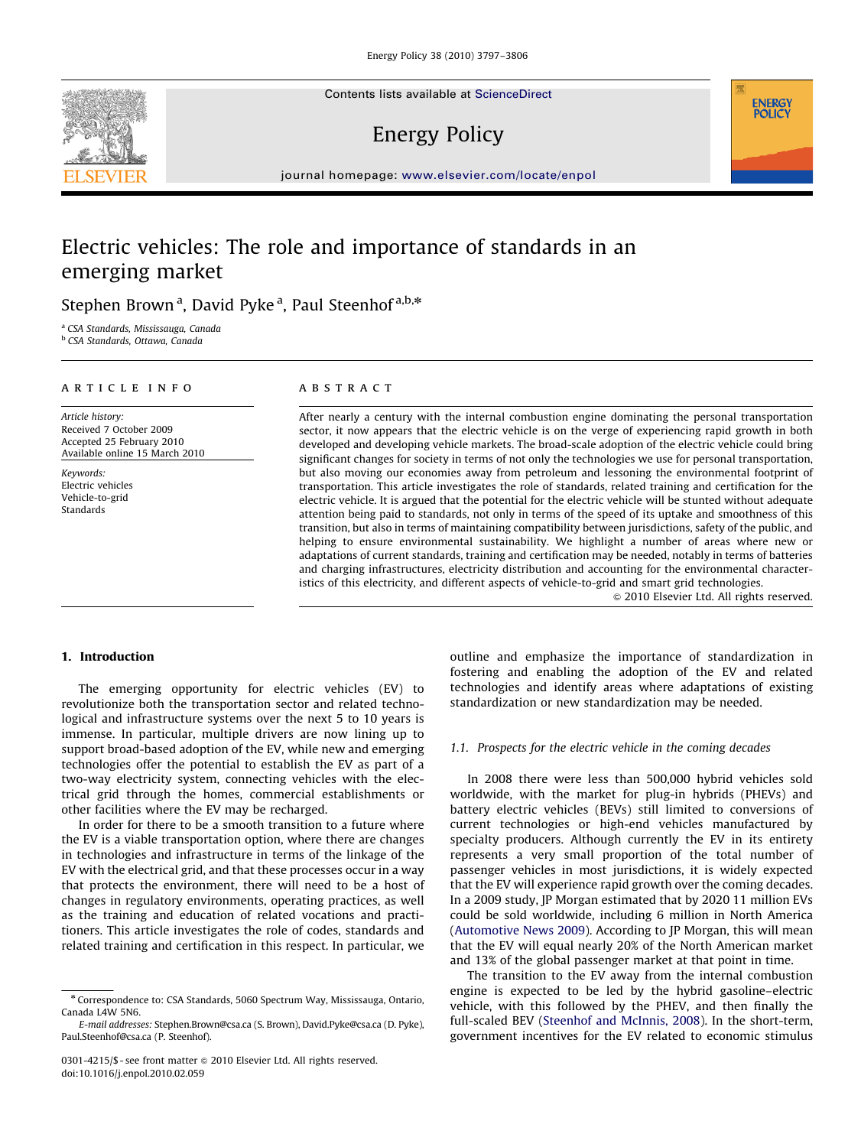Contents lists available at ScienceDirect

### Energy Policy

journal homepage: <www.elsevier.com/locate/enpol>

## Electric vehicles: The role and importance of standards in an emerging market

Stephen Brown<sup>a</sup>, David Pyke<sup>a</sup>, Paul Steenhof<sup>a,b,</sup>\*

<sup>a</sup> CSA Standards, Mississauga, Canada

<sup>b</sup> CSA Standards, Ottawa, Canada

#### article info

Article history: Received 7 October 2009 Accepted 25 February 2010 Available online 15 March 2010

Keywords: Electric vehicles Vehicle-to-grid Standards

#### **ABSTRACT**

After nearly a century with the internal combustion engine dominating the personal transportation sector, it now appears that the electric vehicle is on the verge of experiencing rapid growth in both developed and developing vehicle markets. The broad-scale adoption of the electric vehicle could bring significant changes for society in terms of not only the technologies we use for personal transportation, but also moving our economies away from petroleum and lessoning the environmental footprint of transportation. This article investigates the role of standards, related training and certification for the electric vehicle. It is argued that the potential for the electric vehicle will be stunted without adequate attention being paid to standards, not only in terms of the speed of its uptake and smoothness of this transition, but also in terms of maintaining compatibility between jurisdictions, safety of the public, and helping to ensure environmental sustainability. We highlight a number of areas where new or adaptations of current standards, training and certification may be needed, notably in terms of batteries and charging infrastructures, electricity distribution and accounting for the environmental characteristics of this electricity, and different aspects of vehicle-to-grid and smart grid technologies.

 $\odot$  2010 Elsevier Ltd. All rights reserved.

**ENERGY POLICY** 

#### 1. Introduction

The emerging opportunity for electric vehicles (EV) to revolutionize both the transportation sector and related technological and infrastructure systems over the next 5 to 10 years is immense. In particular, multiple drivers are now lining up to support broad-based adoption of the EV, while new and emerging technologies offer the potential to establish the EV as part of a two-way electricity system, connecting vehicles with the electrical grid through the homes, commercial establishments or other facilities where the EV may be recharged.

In order for there to be a smooth transition to a future where the EV is a viable transportation option, where there are changes in technologies and infrastructure in terms of the linkage of the EV with the electrical grid, and that these processes occur in a way that protects the environment, there will need to be a host of changes in regulatory environments, operating practices, as well as the training and education of related vocations and practitioners. This article investigates the role of codes, standards and related training and certification in this respect. In particular, we

outline and emphasize the importance of standardization in fostering and enabling the adoption of the EV and related technologies and identify areas where adaptations of existing standardization or new standardization may be needed.

#### 1.1. Prospects for the electric vehicle in the coming decades

In 2008 there were less than 500,000 hybrid vehicles sold worldwide, with the market for plug-in hybrids (PHEVs) and battery electric vehicles (BEVs) still limited to conversions of current technologies or high-end vehicles manufactured by specialty producers. Although currently the EV in its entirety represents a very small proportion of the total number of passenger vehicles in most jurisdictions, it is widely expected that the EV will experience rapid growth over the coming decades. In a 2009 study, JP Morgan estimated that by 2020 11 million EVs could be sold worldwide, including 6 million in North America ([Automotive News 2009\)](#page--1-0). According to JP Morgan, this will mean that the EV will equal nearly 20% of the North American market and 13% of the global passenger market at that point in time.

The transition to the EV away from the internal combustion engine is expected to be led by the hybrid gasoline–electric vehicle, with this followed by the PHEV, and then finally the full-scaled BEV ([Steenhof and McInnis, 2008\)](#page--1-0). In the short-term, government incentives for the EV related to economic stimulus



<sup>\*</sup> Correspondence to: CSA Standards, 5060 Spectrum Way, Mississauga, Ontario, Canada L4W 5N6.

E-mail addresses: [Stephen.Brown@csa.ca \(S. Brown\)](mailto:David.Pyke@csa.ca), [David.Pyke@csa.ca \(D. Pyke\)](mailto:David.Pyke@csa.ca), [Paul.Steenhof@csa.ca \(P. Steenhof\).](mailto:Paul.Steenhof@csa.ca)

<sup>0301-4215/\$ -</sup> see front matter @ 2010 Elsevier Ltd. All rights reserved. doi:[10.1016/j.enpol.2010.02.059](dx.doi.org/10.1016/j.enpol.2010.02.059)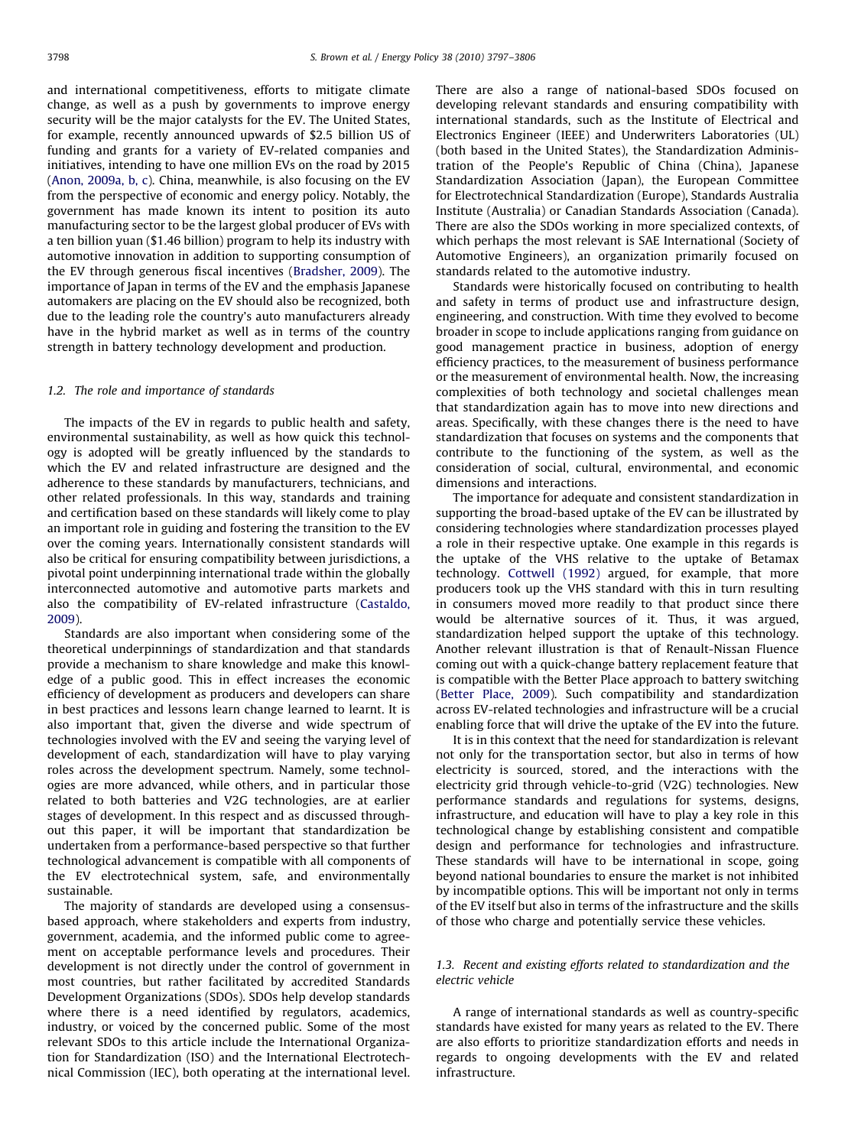and international competitiveness, efforts to mitigate climate change, as well as a push by governments to improve energy security will be the major catalysts for the EV. The United States, for example, recently announced upwards of \$2.5 billion US of funding and grants for a variety of EV-related companies and initiatives, intending to have one million EVs on the road by 2015 ([Anon, 2009a, b, c](#page--1-0)). China, meanwhile, is also focusing on the EV from the perspective of economic and energy policy. Notably, the government has made known its intent to position its auto manufacturing sector to be the largest global producer of EVs with a ten billion yuan (\$1.46 billion) program to help its industry with automotive innovation in addition to supporting consumption of the EV through generous fiscal incentives ([Bradsher, 2009](#page--1-0)). The importance of Japan in terms of the EV and the emphasis Japanese automakers are placing on the EV should also be recognized, both due to the leading role the country's auto manufacturers already have in the hybrid market as well as in terms of the country

#### 1.2. The role and importance of standards

The impacts of the EV in regards to public health and safety, environmental sustainability, as well as how quick this technology is adopted will be greatly influenced by the standards to which the EV and related infrastructure are designed and the adherence to these standards by manufacturers, technicians, and other related professionals. In this way, standards and training and certification based on these standards will likely come to play an important role in guiding and fostering the transition to the EV over the coming years. Internationally consistent standards will also be critical for ensuring compatibility between jurisdictions, a pivotal point underpinning international trade within the globally interconnected automotive and automotive parts markets and also the compatibility of EV-related infrastructure [\(Castaldo,](#page--1-0) [2009\)](#page--1-0).

strength in battery technology development and production.

Standards are also important when considering some of the theoretical underpinnings of standardization and that standards provide a mechanism to share knowledge and make this knowledge of a public good. This in effect increases the economic efficiency of development as producers and developers can share in best practices and lessons learn change learned to learnt. It is also important that, given the diverse and wide spectrum of technologies involved with the EV and seeing the varying level of development of each, standardization will have to play varying roles across the development spectrum. Namely, some technologies are more advanced, while others, and in particular those related to both batteries and V2G technologies, are at earlier stages of development. In this respect and as discussed throughout this paper, it will be important that standardization be undertaken from a performance-based perspective so that further technological advancement is compatible with all components of the EV electrotechnical system, safe, and environmentally sustainable.

The majority of standards are developed using a consensusbased approach, where stakeholders and experts from industry, government, academia, and the informed public come to agreement on acceptable performance levels and procedures. Their development is not directly under the control of government in most countries, but rather facilitated by accredited Standards Development Organizations (SDOs). SDOs help develop standards where there is a need identified by regulators, academics, industry, or voiced by the concerned public. Some of the most relevant SDOs to this article include the International Organization for Standardization (ISO) and the International Electrotechnical Commission (IEC), both operating at the international level. There are also a range of national-based SDOs focused on developing relevant standards and ensuring compatibility with international standards, such as the Institute of Electrical and Electronics Engineer (IEEE) and Underwriters Laboratories (UL) (both based in the United States), the Standardization Administration of the People's Republic of China (China), Japanese Standardization Association (Japan), the European Committee for Electrotechnical Standardization (Europe), Standards Australia Institute (Australia) or Canadian Standards Association (Canada). There are also the SDOs working in more specialized contexts, of which perhaps the most relevant is SAE International (Society of Automotive Engineers), an organization primarily focused on standards related to the automotive industry.

Standards were historically focused on contributing to health and safety in terms of product use and infrastructure design, engineering, and construction. With time they evolved to become broader in scope to include applications ranging from guidance on good management practice in business, adoption of energy efficiency practices, to the measurement of business performance or the measurement of environmental health. Now, the increasing complexities of both technology and societal challenges mean that standardization again has to move into new directions and areas. Specifically, with these changes there is the need to have standardization that focuses on systems and the components that contribute to the functioning of the system, as well as the consideration of social, cultural, environmental, and economic dimensions and interactions.

The importance for adequate and consistent standardization in supporting the broad-based uptake of the EV can be illustrated by considering technologies where standardization processes played a role in their respective uptake. One example in this regards is the uptake of the VHS relative to the uptake of Betamax technology. [Cottwell \(1992\)](#page--1-0) argued, for example, that more producers took up the VHS standard with this in turn resulting in consumers moved more readily to that product since there would be alternative sources of it. Thus, it was argued, standardization helped support the uptake of this technology. Another relevant illustration is that of Renault-Nissan Fluence coming out with a quick-change battery replacement feature that is compatible with the Better Place approach to battery switching ([Better Place, 2009\)](#page--1-0). Such compatibility and standardization across EV-related technologies and infrastructure will be a crucial enabling force that will drive the uptake of the EV into the future.

It is in this context that the need for standardization is relevant not only for the transportation sector, but also in terms of how electricity is sourced, stored, and the interactions with the electricity grid through vehicle-to-grid (V2G) technologies. New performance standards and regulations for systems, designs, infrastructure, and education will have to play a key role in this technological change by establishing consistent and compatible design and performance for technologies and infrastructure. These standards will have to be international in scope, going beyond national boundaries to ensure the market is not inhibited by incompatible options. This will be important not only in terms of the EV itself but also in terms of the infrastructure and the skills of those who charge and potentially service these vehicles.

#### 1.3. Recent and existing efforts related to standardization and the electric vehicle

A range of international standards as well as country-specific standards have existed for many years as related to the EV. There are also efforts to prioritize standardization efforts and needs in regards to ongoing developments with the EV and related infrastructure.